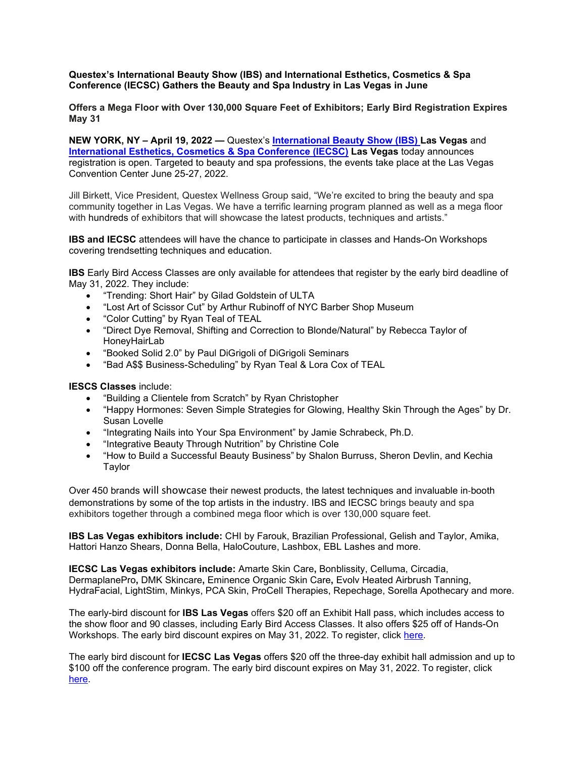# **Questex's International Beauty Show (IBS) and International Esthetics, Cosmetics & Spa Conference (IECSC) Gathers the Beauty and Spa Industry in Las Vegas in June**

**Offers a Mega Floor with Over 130,000 Square Feet of Exhibitors; Early Bird Registration Expires May 31**

**NEW YORK, NY – April 19, 2022 —** Questex's **[International Beauty Show \(IBS\) L](https://www.ibslasvegas.com/)as Vegas** and **[International Esthetics, Cosmetics & Spa Conference \(IECSC\)](https://www.iecsclasvegas.com/) Las Vegas** today announces registration is open. Targeted to beauty and spa professions, the events take place at the Las Vegas Convention Center June 25-27, 2022.

Jill Birkett, Vice President, Questex Wellness Group said, "We're excited to bring the beauty and spa community together in Las Vegas. We have a terrific learning program planned as well as a mega floor with hundreds of exhibitors that will showcase the latest products, techniques and artists."

**IBS and IECSC** attendees will have the chance to participate in classes and Hands-On Workshops covering trendsetting techniques and education.

**IBS** Early Bird Access Classes are only available for attendees that register by the early bird deadline of May 31, 2022. They include:

- "Trending: Short Hair" by Gilad Goldstein of ULTA
- "Lost Art of Scissor Cut" by Arthur Rubinoff of NYC Barber Shop Museum
- "Color Cutting" by Ryan Teal of TEAL
- "Direct Dye Removal, Shifting and Correction to Blonde/Natural" by Rebecca Taylor of HoneyHairLab
- "Booked Solid 2.0" by Paul DiGrigoli of DiGrigoli Seminars
- "Bad A\$\$ Business-Scheduling" by Ryan Teal & Lora Cox of TEAL

**IESCS Classes** include:

- "Building a Clientele from Scratch" by Ryan Christopher
- "Happy Hormones: Seven Simple Strategies for Glowing, Healthy Skin Through the Ages" by Dr. Susan Lovelle
- "Integrating Nails into Your Spa Environment" by Jamie Schrabeck, Ph.D.
- "Integrative Beauty Through Nutrition" by Christine Cole
- "How to Build a Successful Beauty Business" by Shalon Burruss, Sheron Devlin, and Kechia Taylor

Over 450 brands will showcase their newest products, the latest techniques and invaluable in‐booth demonstrations by some of the top artists in the industry. IBS and IECSC brings beauty and spa exhibitors together through a combined mega floor which is over 130,000 square feet.

**IBS Las Vegas exhibitors include:** CHI by Farouk, Brazilian Professional, Gelish and Taylor, Amika, Hattori Hanzo Shears, Donna Bella, HaloCouture, Lashbox, EBL Lashes and more.

**IECSC Las Vegas exhibitors include:** Amarte Skin Care**,** Bonblissity, Celluma, Circadia, DermaplanePro**,** DMK Skincare**,** Eminence Organic Skin Care**,** Evolv Heated Airbrush Tanning, HydraFacial, LightStim, Minkys, PCA Skin, ProCell Therapies, Repechage, Sorella Apothecary and more.

The early-bird discount for **IBS Las Vegas** offers \$20 off an Exhibit Hall pass, which includes access to the show floor and 90 classes, including Early Bird Access Classes. It also offers \$25 off of Hands-On Workshops. The early bird discount expires on May 31, 2022. To register, click [here.](https://xpressreg.net/register/ibsh0622/landing.asp)

The early bird discount for **IECSC Las Vegas** offers \$20 off the three-day exhibit hall admission and up to \$100 off the conference program. The early bird discount expires on May 31, 2022. To register, click [here.](https://www.xpressreg.net/register/iecs0622/landing.asp)